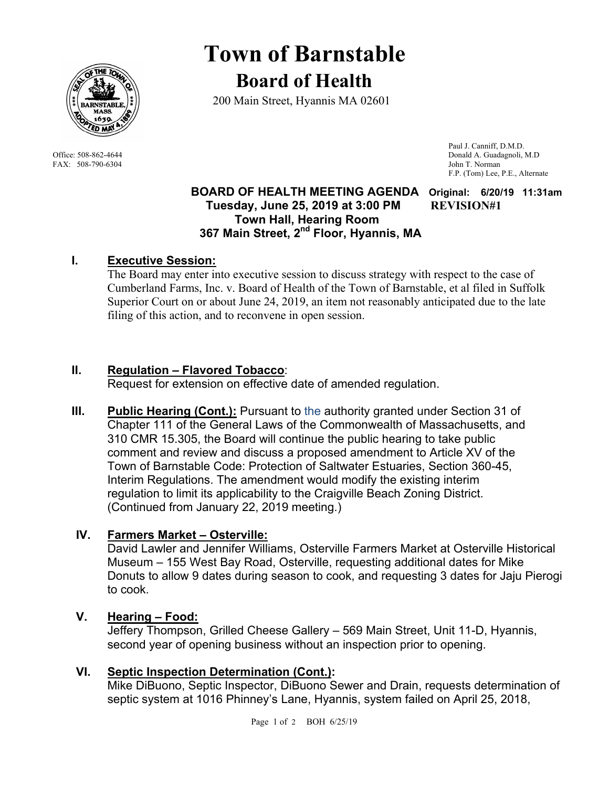

FAX: 508-790-6304 John T. Norman

# **Town of Barnstable Board of Health**

200 Main Street, Hyannis MA 02601

 Paul J. Canniff, D.M.D. Office: 508-862-4644 Donald A. Guadagnoli, M.D F.P. (Tom) Lee, P.E., Alternate

#### **BOARD OF HEALTH MEETING AGENDA Original: 6/20/19 11:31am Tuesday, June 25, 2019 at 3:00 PM REVISION#1 Town Hall, Hearing Room 367 Main Street, 2nd Floor, Hyannis, MA**

# **I. Executive Session:**

The Board may enter into executive session to discuss strategy with respect to the case of Cumberland Farms, Inc. v. Board of Health of the Town of Barnstable, et al filed in Suffolk Superior Court on or about June 24, 2019, an item not reasonably anticipated due to the late filing of this action, and to reconvene in open session.

# **II. Regulation – Flavored Tobacco**:

Request for extension on effective date of amended regulation.

**III.** Public Hearing (Cont.): Pursuant to the authority granted under Section 31 of Chapter 111 of the General Laws of the Commonwealth of Massachusetts, and 310 CMR 15.305, the Board will continue the public hearing to take public comment and review and discuss a proposed amendment to Article XV of the Town of Barnstable Code: Protection of Saltwater Estuaries, Section 360-45, Interim Regulations. The amendment would modify the existing interim regulation to limit its applicability to the Craigville Beach Zoning District. (Continued from January 22, 2019 meeting.)

# **IV. Farmers Market – Osterville:**

David Lawler and Jennifer Williams, Osterville Farmers Market at Osterville Historical Museum – 155 West Bay Road, Osterville, requesting additional dates for Mike Donuts to allow 9 dates during season to cook, and requesting 3 dates for Jaju Pierogi to cook.

# **V. Hearing – Food:**

Jeffery Thompson, Grilled Cheese Gallery – 569 Main Street, Unit 11-D, Hyannis, second year of opening business without an inspection prior to opening.

## **VI. Septic Inspection Determination (Cont.):**

Mike DiBuono, Septic Inspector, DiBuono Sewer and Drain, requests determination of septic system at 1016 Phinney's Lane, Hyannis, system failed on April 25, 2018,